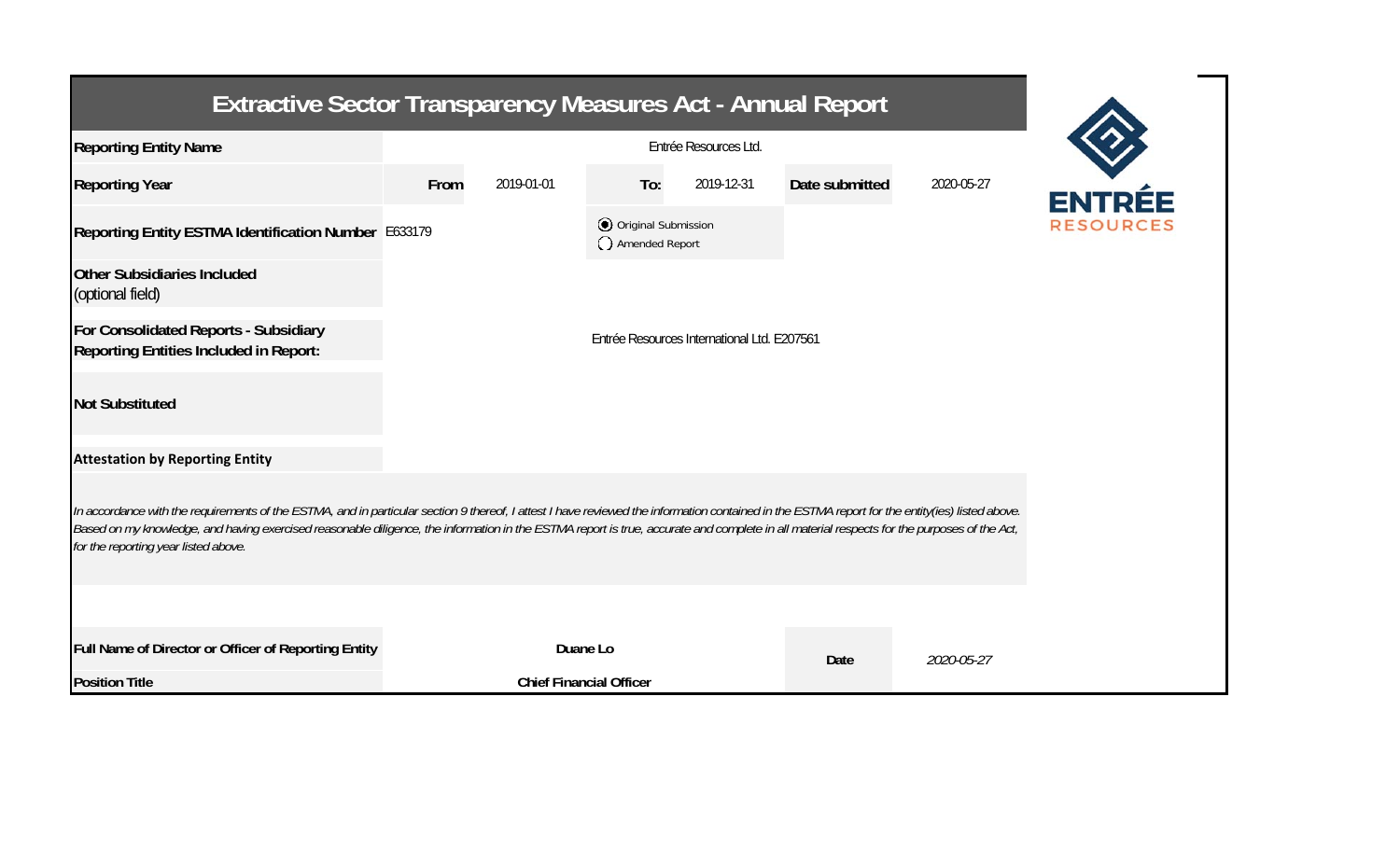| <b>Extractive Sector Transparency Measures Act - Annual Report</b>                                                                                                                                                                                                                                                                                                                                                                    |      |                                             |                                       |            |                |            |                  |  |  |  |  |
|---------------------------------------------------------------------------------------------------------------------------------------------------------------------------------------------------------------------------------------------------------------------------------------------------------------------------------------------------------------------------------------------------------------------------------------|------|---------------------------------------------|---------------------------------------|------------|----------------|------------|------------------|--|--|--|--|
| <b>Reporting Entity Name</b>                                                                                                                                                                                                                                                                                                                                                                                                          |      |                                             |                                       |            |                |            |                  |  |  |  |  |
| <b>Reporting Year</b>                                                                                                                                                                                                                                                                                                                                                                                                                 | From | 2019-01-01                                  | To:                                   | 2019-12-31 | Date submitted | 2020-05-27 |                  |  |  |  |  |
| Reporting Entity ESTMA Identification Number E633179                                                                                                                                                                                                                                                                                                                                                                                  |      |                                             | Original Submission<br>Amended Report |            |                |            | <b>RESOURCES</b> |  |  |  |  |
| <b>Other Subsidiaries Included</b><br>(optional field)                                                                                                                                                                                                                                                                                                                                                                                |      |                                             |                                       |            |                |            |                  |  |  |  |  |
| For Consolidated Reports - Subsidiary<br>Reporting Entities Included in Report:                                                                                                                                                                                                                                                                                                                                                       |      | Entrée Resources International Ltd. E207561 |                                       |            |                |            |                  |  |  |  |  |
| <b>Not Substituted</b>                                                                                                                                                                                                                                                                                                                                                                                                                |      |                                             |                                       |            |                |            |                  |  |  |  |  |
| <b>Attestation by Reporting Entity</b>                                                                                                                                                                                                                                                                                                                                                                                                |      |                                             |                                       |            |                |            |                  |  |  |  |  |
| In accordance with the requirements of the ESTMA, and in particular section 9 thereof, I attest I have reviewed the information contained in the ESTMA report for the entity(ies) listed above.<br>Based on my knowledge, and having exercised reasonable diligence, the information in the ESTMA report is true, accurate and complete in all material respects for the purposes of the Act,<br>for the reporting year listed above. |      |                                             |                                       |            |                |            |                  |  |  |  |  |
|                                                                                                                                                                                                                                                                                                                                                                                                                                       |      |                                             |                                       |            |                |            |                  |  |  |  |  |
| Full Name of Director or Officer of Reporting Entity                                                                                                                                                                                                                                                                                                                                                                                  |      | Duane Lo                                    |                                       |            | Date           | 2020-05-27 |                  |  |  |  |  |
| <b>Position Title</b>                                                                                                                                                                                                                                                                                                                                                                                                                 |      | <b>Chief Financial Officer</b>              |                                       |            |                |            |                  |  |  |  |  |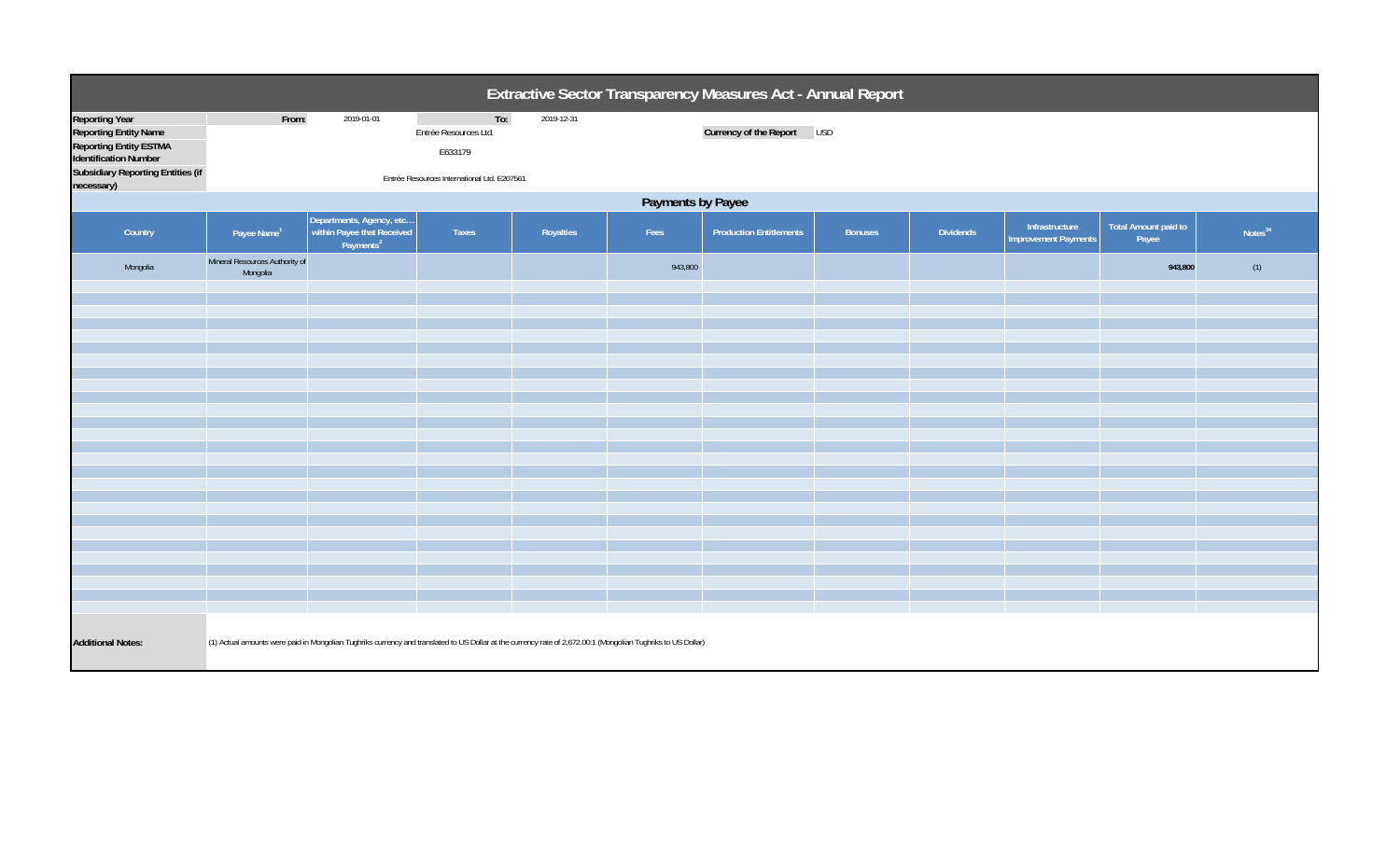| Extractive Sector Transparency Measures Act - Annual Report                                                                                                 |                                                                                                                                                              |                                                                                 |                                                                                        |            |         |                                |                |                  |                                               |                                      |                     |
|-------------------------------------------------------------------------------------------------------------------------------------------------------------|--------------------------------------------------------------------------------------------------------------------------------------------------------------|---------------------------------------------------------------------------------|----------------------------------------------------------------------------------------|------------|---------|--------------------------------|----------------|------------------|-----------------------------------------------|--------------------------------------|---------------------|
| Reporting Year<br><b>Reporting Entity Name</b><br><b>Reporting Entity ESTMA</b><br><b>Identification Number</b><br><b>Subsidiary Reporting Entities (if</b> | From:                                                                                                                                                        | 2019-01-01                                                                      | To:<br>Entrée Resources Ltd.<br>E633179<br>Entrée Resources International Ltd. E207561 | 2019-12-31 |         | Currency of the Report USD     |                |                  |                                               |                                      |                     |
| necessary)                                                                                                                                                  | Payments by Payee                                                                                                                                            |                                                                                 |                                                                                        |            |         |                                |                |                  |                                               |                                      |                     |
| Country                                                                                                                                                     | Payee Name <sup>1</sup>                                                                                                                                      | Departments, Agency, etc<br>within Payee that Received<br>Payments <sup>2</sup> | Taxes                                                                                  | Royalties  | Fees    | <b>Production Entitlements</b> | <b>Bonuses</b> | <b>Dividends</b> | Infrastructure<br><b>Improvement Payments</b> | <b>Total Amount paid to</b><br>Payee | Notes <sup>34</sup> |
| Mongolia                                                                                                                                                    | Mineral Resources Authority of<br>Mongolia                                                                                                                   |                                                                                 |                                                                                        |            | 943,800 |                                |                |                  |                                               | 943,800                              | (1)                 |
|                                                                                                                                                             |                                                                                                                                                              |                                                                                 |                                                                                        |            |         |                                |                |                  |                                               |                                      |                     |
|                                                                                                                                                             |                                                                                                                                                              |                                                                                 |                                                                                        |            |         |                                |                |                  |                                               |                                      |                     |
|                                                                                                                                                             |                                                                                                                                                              |                                                                                 |                                                                                        |            |         |                                |                |                  |                                               |                                      |                     |
|                                                                                                                                                             |                                                                                                                                                              |                                                                                 |                                                                                        |            |         |                                |                |                  |                                               |                                      |                     |
|                                                                                                                                                             |                                                                                                                                                              |                                                                                 |                                                                                        |            |         |                                |                |                  |                                               |                                      |                     |
|                                                                                                                                                             |                                                                                                                                                              |                                                                                 |                                                                                        |            |         |                                |                |                  |                                               |                                      |                     |
|                                                                                                                                                             |                                                                                                                                                              |                                                                                 |                                                                                        |            |         |                                |                |                  |                                               |                                      |                     |
|                                                                                                                                                             |                                                                                                                                                              |                                                                                 |                                                                                        |            |         |                                |                |                  |                                               |                                      |                     |
|                                                                                                                                                             |                                                                                                                                                              |                                                                                 |                                                                                        |            |         |                                |                |                  |                                               |                                      |                     |
|                                                                                                                                                             |                                                                                                                                                              |                                                                                 |                                                                                        |            |         |                                |                |                  |                                               |                                      |                     |
|                                                                                                                                                             |                                                                                                                                                              |                                                                                 |                                                                                        |            |         |                                |                |                  |                                               |                                      |                     |
|                                                                                                                                                             |                                                                                                                                                              |                                                                                 |                                                                                        |            |         |                                |                |                  |                                               |                                      |                     |
|                                                                                                                                                             |                                                                                                                                                              |                                                                                 |                                                                                        |            |         |                                |                |                  |                                               |                                      |                     |
|                                                                                                                                                             |                                                                                                                                                              |                                                                                 |                                                                                        |            |         |                                |                |                  |                                               |                                      |                     |
| <b>Additional Notes:</b>                                                                                                                                    | (1) Actual amounts were paid in Mongolian Tughriks currency and translated to US Dollar at the currency rate of 2,672.00:1 (Mongolian Tughriks to US Dollar) |                                                                                 |                                                                                        |            |         |                                |                |                  |                                               |                                      |                     |